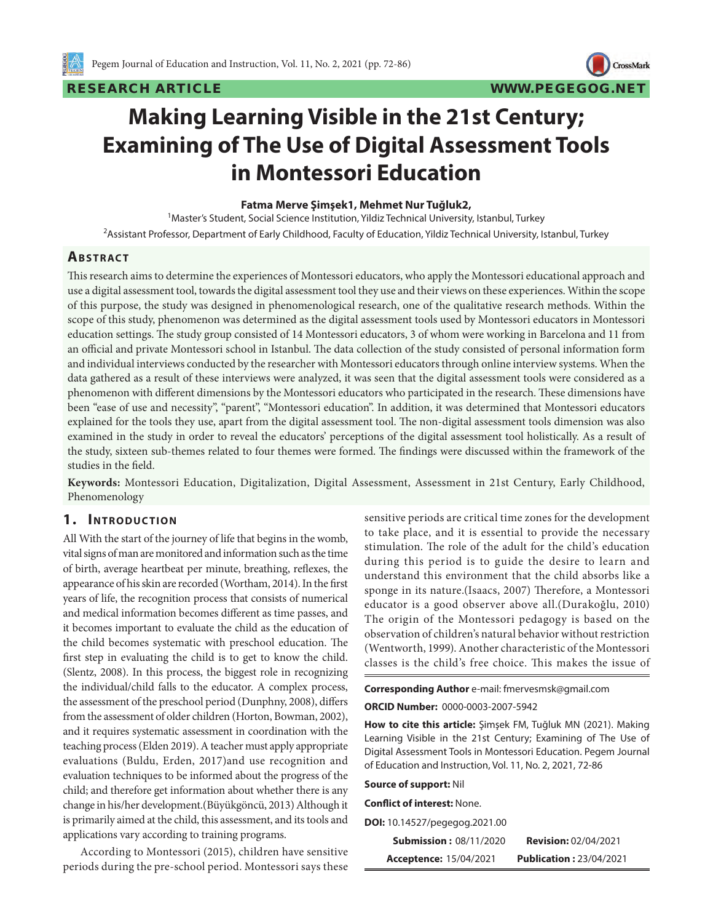

CrossMark

# **Making Learning Visible in the 21st Century; Examining of The Use of Digital Assessment Tools in Montessori Education**

#### **Fatma Merve Şimşek1, Mehmet Nur Tuğluk2,**

<sup>1</sup>Master's Student, Social Science Institution, Yildiz Technical University, Istanbul, Turkey 2 Assistant Professor, Department of Early Childhood, Faculty of Education, Yildiz Technical University, Istanbul, Turkey

### **ABSTRACT**

This research aims to determine the experiences of Montessori educators, who apply the Montessori educational approach and use a digital assessment tool, towards the digital assessment tool they use and their views on these experiences. Within the scope of this purpose, the study was designed in phenomenological research, one of the qualitative research methods. Within the scope of this study, phenomenon was determined as the digital assessment tools used by Montessori educators in Montessori education settings. The study group consisted of 14 Montessori educators, 3 of whom were working in Barcelona and 11 from an official and private Montessori school in Istanbul. The data collection of the study consisted of personal information form and individual interviews conducted by the researcher with Montessori educators through online interview systems. When the data gathered as a result of these interviews were analyzed, it was seen that the digital assessment tools were considered as a phenomenon with different dimensions by the Montessori educators who participated in the research. These dimensions have been "ease of use and necessity", "parent", "Montessori education". In addition, it was determined that Montessori educators explained for the tools they use, apart from the digital assessment tool. The non-digital assessment tools dimension was also examined in the study in order to reveal the educators' perceptions of the digital assessment tool holistically. As a result of the study, sixteen sub-themes related to four themes were formed. The findings were discussed within the framework of the studies in the field.

**Keywords:** Montessori Education, Digitalization, Digital Assessment, Assessment in 21st Century, Early Childhood, Phenomenology

#### **1. INTRODUCTION**

All With the start of the journey of life that begins in the womb, vital signs of man are monitored and information such as the time of birth, average heartbeat per minute, breathing, reflexes, the appearance of his skin are recorded (Wortham, 2014). In the first years of life, the recognition process that consists of numerical and medical information becomes different as time passes, and it becomes important to evaluate the child as the education of the child becomes systematic with preschool education. The first step in evaluating the child is to get to know the child. (Slentz, 2008). In this process, the biggest role in recognizing the individual/child falls to the educator. A complex process, the assessment of the preschool period (Dunphny, 2008), differs from the assessment of older children (Horton, Bowman, 2002), and it requires systematic assessment in coordination with the teaching process (Elden 2019). A teacher must apply appropriate evaluations (Buldu, Erden, 2017)and use recognition and evaluation techniques to be informed about the progress of the child; and therefore get information about whether there is any change in his/her development.(Büyükgöncü, 2013) Although it is primarily aimed at the child, this assessment, and its tools and applications vary according to training programs.

According to Montessori (2015), children have sensitive periods during the pre-school period. Montessori says these sensitive periods are critical time zones for the development to take place, and it is essential to provide the necessary stimulation. The role of the adult for the child's education during this period is to guide the desire to learn and understand this environment that the child absorbs like a sponge in its nature.(Isaacs, 2007) Therefore, a Montessori educator is a good observer above all.(Durakoğlu, 2010) The origin of the Montessori pedagogy is based on the observation of children's natural behavior without restriction (Wentworth, 1999). Another characteristic of the Montessori classes is the child's free choice. This makes the issue of

**Corresponding Author** e-mail: fmervesmsk@gmail.com **ORCID Number:** 0000-0003-2007-5942

**How to cite this article:** Şimşek FM, Tuğluk MN (2021). Making Learning Visible in the 21st Century; Examining of The Use of Digital Assessment Tools in Montessori Education. Pegem Journal of Education and Instruction, Vol. 11, No. 2, 2021, 72-86

**Source of support:** Nil

**Conflict of interest:** None.

**DOI:** 10.14527/pegegog.2021.00

| <b>Submission: 08/11/2020</b> | <b>Revision: 02/04/2021</b>    |
|-------------------------------|--------------------------------|
| <b>Acceptence: 15/04/2021</b> | <b>Publication: 23/04/2021</b> |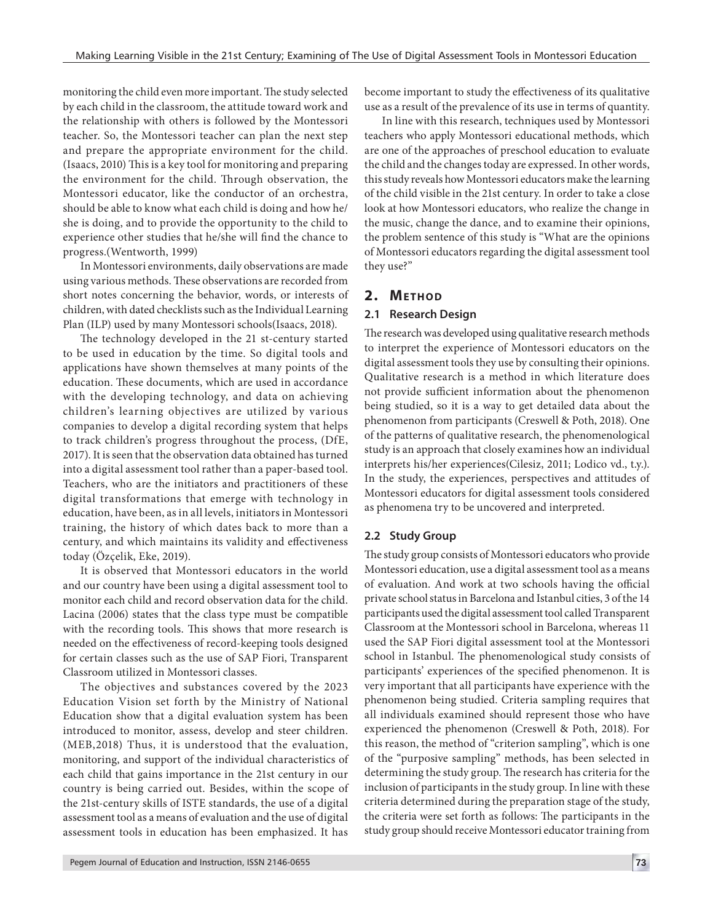monitoring the child even more important. The study selected by each child in the classroom, the attitude toward work and the relationship with others is followed by the Montessori teacher. So, the Montessori teacher can plan the next step and prepare the appropriate environment for the child. (Isaacs, 2010) This is a key tool for monitoring and preparing the environment for the child. Through observation, the Montessori educator, like the conductor of an orchestra, should be able to know what each child is doing and how he/ she is doing, and to provide the opportunity to the child to experience other studies that he/she will find the chance to progress.(Wentworth, 1999)

In Montessori environments, daily observations are made using various methods. These observations are recorded from short notes concerning the behavior, words, or interests of children, with dated checklists such as the Individual Learning Plan (ILP) used by many Montessori schools(Isaacs, 2018).

The technology developed in the 21 st-century started to be used in education by the time. So digital tools and applications have shown themselves at many points of the education. These documents, which are used in accordance with the developing technology, and data on achieving children's learning objectives are utilized by various companies to develop a digital recording system that helps to track children's progress throughout the process, (DfE, 2017). It is seen that the observation data obtained has turned into a digital assessment tool rather than a paper-based tool. Teachers, who are the initiators and practitioners of these digital transformations that emerge with technology in education, have been, as in all levels, initiators in Montessori training, the history of which dates back to more than a century, and which maintains its validity and effectiveness today (Özçelik, Eke, 2019).

It is observed that Montessori educators in the world and our country have been using a digital assessment tool to monitor each child and record observation data for the child. Lacina (2006) states that the class type must be compatible with the recording tools. This shows that more research is needed on the effectiveness of record-keeping tools designed for certain classes such as the use of SAP Fiori, Transparent Classroom utilized in Montessori classes.

The objectives and substances covered by the 2023 Education Vision set forth by the Ministry of National Education show that a digital evaluation system has been introduced to monitor, assess, develop and steer children. (MEB,2018) Thus, it is understood that the evaluation, monitoring, and support of the individual characteristics of each child that gains importance in the 21st century in our country is being carried out. Besides, within the scope of the 21st-century skills of ISTE standards, the use of a digital assessment tool as a means of evaluation and the use of digital assessment tools in education has been emphasized. It has

become important to study the effectiveness of its qualitative use as a result of the prevalence of its use in terms of quantity.

In line with this research, techniques used by Montessori teachers who apply Montessori educational methods, which are one of the approaches of preschool education to evaluate the child and the changes today are expressed. In other words, this study reveals how Montessori educators make the learning of the child visible in the 21st century. In order to take a close look at how Montessori educators, who realize the change in the music, change the dance, and to examine their opinions, the problem sentence of this study is "What are the opinions of Montessori educators regarding the digital assessment tool they use?"

# **2. METHOD**

# **2.1 Research Design**

The research was developed using qualitative research methods to interpret the experience of Montessori educators on the digital assessment tools they use by consulting their opinions. Qualitative research is a method in which literature does not provide sufficient information about the phenomenon being studied, so it is a way to get detailed data about the phenomenon from participants (Creswell & Poth, 2018). One of the patterns of qualitative research, the phenomenological study is an approach that closely examines how an individual interprets his/her experiences(Cilesiz, 2011; Lodico vd., t.y.). In the study, the experiences, perspectives and attitudes of Montessori educators for digital assessment tools considered as phenomena try to be uncovered and interpreted.

# **2.2 Study Group**

The study group consists of Montessori educators who provide Montessori education, use a digital assessment tool as a means of evaluation. And work at two schools having the official private school status in Barcelona and Istanbul cities, 3 of the 14 participants used the digital assessment tool called Transparent Classroom at the Montessori school in Barcelona, whereas 11 used the SAP Fiori digital assessment tool at the Montessori school in Istanbul. The phenomenological study consists of participants' experiences of the specified phenomenon. It is very important that all participants have experience with the phenomenon being studied. Criteria sampling requires that all individuals examined should represent those who have experienced the phenomenon (Creswell & Poth, 2018). For this reason, the method of "criterion sampling", which is one of the "purposive sampling" methods, has been selected in determining the study group. The research has criteria for the inclusion of participants in the study group. In line with these criteria determined during the preparation stage of the study, the criteria were set forth as follows: The participants in the study group should receive Montessori educator training from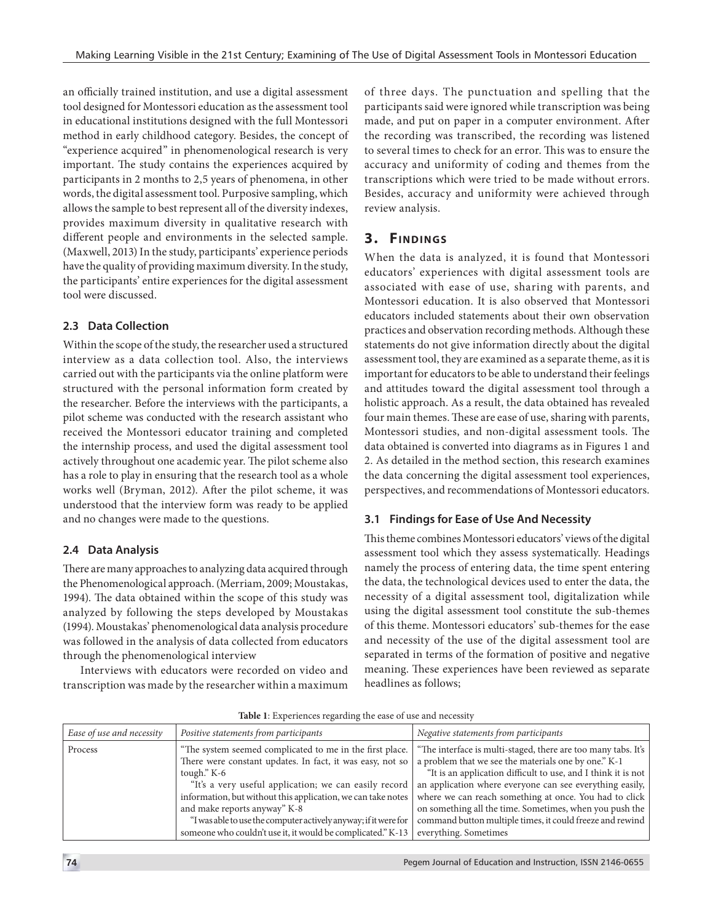an officially trained institution, and use a digital assessment tool designed for Montessori education as the assessment tool in educational institutions designed with the full Montessori method in early childhood category. Besides, the concept of "experience acquired" in phenomenological research is very important. The study contains the experiences acquired by participants in 2 months to 2,5 years of phenomena, in other words, the digital assessment tool. Purposive sampling, which allows the sample to best represent all of the diversity indexes, provides maximum diversity in qualitative research with different people and environments in the selected sample. (Maxwell, 2013) In the study, participants' experience periods have the quality of providing maximum diversity. In the study, the participants' entire experiences for the digital assessment tool were discussed.

# **2.3 Data Collection**

Within the scope of the study, the researcher used a structured interview as a data collection tool. Also, the interviews carried out with the participants via the online platform were structured with the personal information form created by the researcher. Before the interviews with the participants, a pilot scheme was conducted with the research assistant who received the Montessori educator training and completed the internship process, and used the digital assessment tool actively throughout one academic year. The pilot scheme also has a role to play in ensuring that the research tool as a whole works well (Bryman, 2012). After the pilot scheme, it was understood that the interview form was ready to be applied and no changes were made to the questions.

# **2.4 Data Analysis**

There are many approaches to analyzing data acquired through the Phenomenological approach. (Merriam, 2009; Moustakas, 1994). The data obtained within the scope of this study was analyzed by following the steps developed by Moustakas (1994). Moustakas' phenomenological data analysis procedure was followed in the analysis of data collected from educators through the phenomenological interview

Interviews with educators were recorded on video and transcription was made by the researcher within a maximum of three days. The punctuation and spelling that the participants said were ignored while transcription was being made, and put on paper in a computer environment. After the recording was transcribed, the recording was listened to several times to check for an error. This was to ensure the accuracy and uniformity of coding and themes from the transcriptions which were tried to be made without errors. Besides, accuracy and uniformity were achieved through review analysis.

# **3. FINDINGS**

When the data is analyzed, it is found that Montessori educators' experiences with digital assessment tools are associated with ease of use, sharing with parents, and Montessori education. It is also observed that Montessori educators included statements about their own observation practices and observation recording methods. Although these statements do not give information directly about the digital assessment tool, they are examined as a separate theme, as it is important for educators to be able to understand their feelings and attitudes toward the digital assessment tool through a holistic approach. As a result, the data obtained has revealed four main themes. These are ease of use, sharing with parents, Montessori studies, and non-digital assessment tools. The data obtained is converted into diagrams as in Figures 1 and 2. As detailed in the method section, this research examines the data concerning the digital assessment tool experiences, perspectives, and recommendations of Montessori educators.

# **3.1 Findings for Ease of Use And Necessity**

This theme combines Montessori educators' views of the digital assessment tool which they assess systematically. Headings namely the process of entering data, the time spent entering the data, the technological devices used to enter the data, the necessity of a digital assessment tool, digitalization while using the digital assessment tool constitute the sub-themes of this theme. Montessori educators' sub-themes for the ease and necessity of the use of the digital assessment tool are separated in terms of the formation of positive and negative meaning. These experiences have been reviewed as separate headlines as follows;

| Ease of use and necessity | Positive statements from participants                                                                                                                                                                                                                                                                                                                           | Negative statements from participants                                                                                                                                                                                                                                                                                                                                                                                                                                                                                      |
|---------------------------|-----------------------------------------------------------------------------------------------------------------------------------------------------------------------------------------------------------------------------------------------------------------------------------------------------------------------------------------------------------------|----------------------------------------------------------------------------------------------------------------------------------------------------------------------------------------------------------------------------------------------------------------------------------------------------------------------------------------------------------------------------------------------------------------------------------------------------------------------------------------------------------------------------|
| Process                   | "The system seemed complicated to me in the first place.<br>There were constant updates. In fact, it was easy, not so<br>tough." K-6<br>"It's a very useful application; we can easily record<br>and make reports anyway" K-8<br>"I was able to use the computer actively anyway; if it were for<br>someone who couldn't use it, it would be complicated." K-13 | "The interface is multi-staged, there are too many tabs. It's<br>a problem that we see the materials one by one." K-1<br>"It is an application difficult to use, and I think it is not<br>an application where everyone can see everything easily,<br>information, but without this application, we can take notes where we can reach something at once. You had to click<br>on something all the time. Sometimes, when you push the<br>command button multiple times, it could freeze and rewind<br>everything. Sometimes |

**Table 1**: Experiences regarding the ease of use and necessity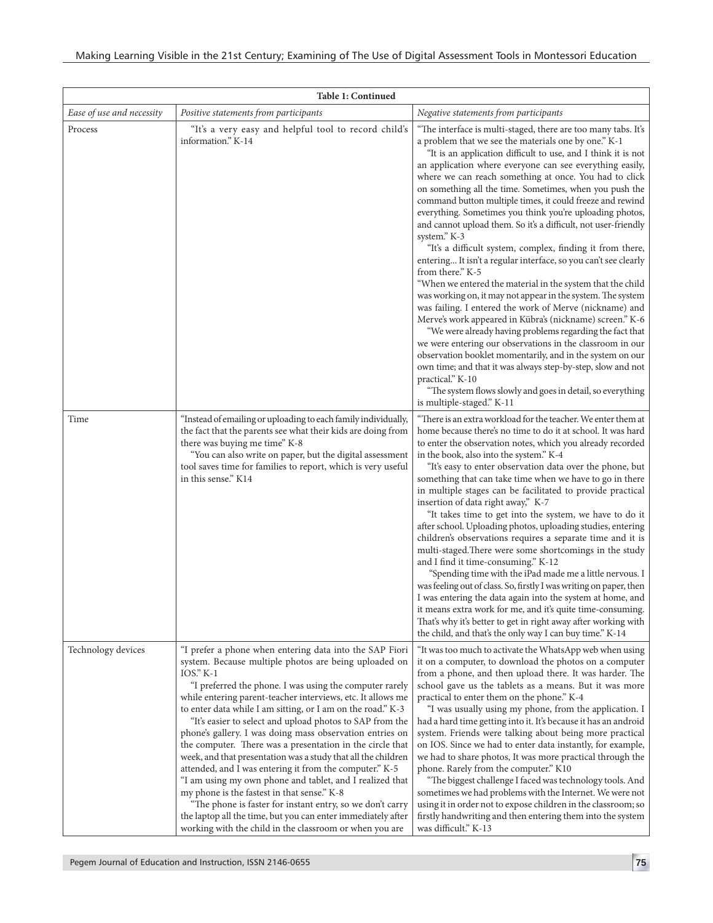| Table 1: Continued        |                                                                                                                                                                                                                                                                                                                                                                                                                                                                                                                                                                                                                                                                                                                                                                                                                                                                                                                                             |                                                                                                                                                                                                                                                                                                                                                                                                                                                                                                                                                                                                                                                                                                                                                                                                                                                                                                                                                                                                                                                                                                                                                                                                                                                                                                                                                                |
|---------------------------|---------------------------------------------------------------------------------------------------------------------------------------------------------------------------------------------------------------------------------------------------------------------------------------------------------------------------------------------------------------------------------------------------------------------------------------------------------------------------------------------------------------------------------------------------------------------------------------------------------------------------------------------------------------------------------------------------------------------------------------------------------------------------------------------------------------------------------------------------------------------------------------------------------------------------------------------|----------------------------------------------------------------------------------------------------------------------------------------------------------------------------------------------------------------------------------------------------------------------------------------------------------------------------------------------------------------------------------------------------------------------------------------------------------------------------------------------------------------------------------------------------------------------------------------------------------------------------------------------------------------------------------------------------------------------------------------------------------------------------------------------------------------------------------------------------------------------------------------------------------------------------------------------------------------------------------------------------------------------------------------------------------------------------------------------------------------------------------------------------------------------------------------------------------------------------------------------------------------------------------------------------------------------------------------------------------------|
| Ease of use and necessity | Positive statements from participants                                                                                                                                                                                                                                                                                                                                                                                                                                                                                                                                                                                                                                                                                                                                                                                                                                                                                                       | Negative statements from participants                                                                                                                                                                                                                                                                                                                                                                                                                                                                                                                                                                                                                                                                                                                                                                                                                                                                                                                                                                                                                                                                                                                                                                                                                                                                                                                          |
| Process                   | "It's a very easy and helpful tool to record child's<br>information." K-14                                                                                                                                                                                                                                                                                                                                                                                                                                                                                                                                                                                                                                                                                                                                                                                                                                                                  | "The interface is multi-staged, there are too many tabs. It's<br>a problem that we see the materials one by one." K-1<br>"It is an application difficult to use, and I think it is not<br>an application where everyone can see everything easily,<br>where we can reach something at once. You had to click<br>on something all the time. Sometimes, when you push the<br>command button multiple times, it could freeze and rewind<br>everything. Sometimes you think you're uploading photos,<br>and cannot upload them. So it's a difficult, not user-friendly<br>system." K-3<br>"It's a difficult system, complex, finding it from there,<br>entering It isn't a regular interface, so you can't see clearly<br>from there." K-5<br>"When we entered the material in the system that the child<br>was working on, it may not appear in the system. The system<br>was failing. I entered the work of Merve (nickname) and<br>Merve's work appeared in Kübra's (nickname) screen." K-6<br>"We were already having problems regarding the fact that<br>we were entering our observations in the classroom in our<br>observation booklet momentarily, and in the system on our<br>own time; and that it was always step-by-step, slow and not<br>practical." K-10<br>"The system flows slowly and goes in detail, so everything<br>is multiple-staged." K-11 |
| Time                      | "Instead of emailing or uploading to each family individually,<br>the fact that the parents see what their kids are doing from<br>there was buying me time" K-8<br>"You can also write on paper, but the digital assessment<br>tool saves time for families to report, which is very useful<br>in this sense." K14                                                                                                                                                                                                                                                                                                                                                                                                                                                                                                                                                                                                                          | "There is an extra workload for the teacher. We enter them at<br>home because there's no time to do it at school. It was hard<br>to enter the observation notes, which you already recorded<br>in the book, also into the system." K-4<br>"It's easy to enter observation data over the phone, but<br>something that can take time when we have to go in there<br>in multiple stages can be facilitated to provide practical<br>insertion of data right away," K-7<br>"It takes time to get into the system, we have to do it<br>after school. Uploading photos, uploading studies, entering<br>children's observations requires a separate time and it is<br>multi-staged. There were some shortcomings in the study<br>and I find it time-consuming." K-12<br>"Spending time with the iPad made me a little nervous. I<br>was feeling out of class. So, firstly I was writing on paper, then<br>I was entering the data again into the system at home, and<br>it means extra work for me, and it's quite time-consuming.<br>That's why it's better to get in right away after working with<br>the child, and that's the only way I can buy time." K-14                                                                                                                                                                                                       |
| Technology devices        | "I prefer a phone when entering data into the SAP Fiori<br>system. Because multiple photos are being uploaded on<br>$IOS. K-1$<br>"I preferred the phone. I was using the computer rarely<br>while entering parent-teacher interviews, etc. It allows me<br>to enter data while I am sitting, or I am on the road." K-3<br>"It's easier to select and upload photos to SAP from the<br>phone's gallery. I was doing mass observation entries on<br>the computer. There was a presentation in the circle that<br>week, and that presentation was a study that all the children<br>attended, and I was entering it from the computer." K-5<br>"I am using my own phone and tablet, and I realized that<br>my phone is the fastest in that sense." K-8<br>"The phone is faster for instant entry, so we don't carry<br>the laptop all the time, but you can enter immediately after<br>working with the child in the classroom or when you are | "It was too much to activate the WhatsApp web when using<br>it on a computer, to download the photos on a computer<br>from a phone, and then upload there. It was harder. The<br>school gave us the tablets as a means. But it was more<br>practical to enter them on the phone." K-4<br>"I was usually using my phone, from the application. I<br>had a hard time getting into it. It's because it has an android<br>system. Friends were talking about being more practical<br>on IOS. Since we had to enter data instantly, for example,<br>we had to share photos, It was more practical through the<br>phone. Rarely from the computer." K10<br>"The biggest challenge I faced was technology tools. And<br>sometimes we had problems with the Internet. We were not<br>using it in order not to expose children in the classroom; so<br>firstly handwriting and then entering them into the system<br>was difficult." K-13                                                                                                                                                                                                                                                                                                                                                                                                                               |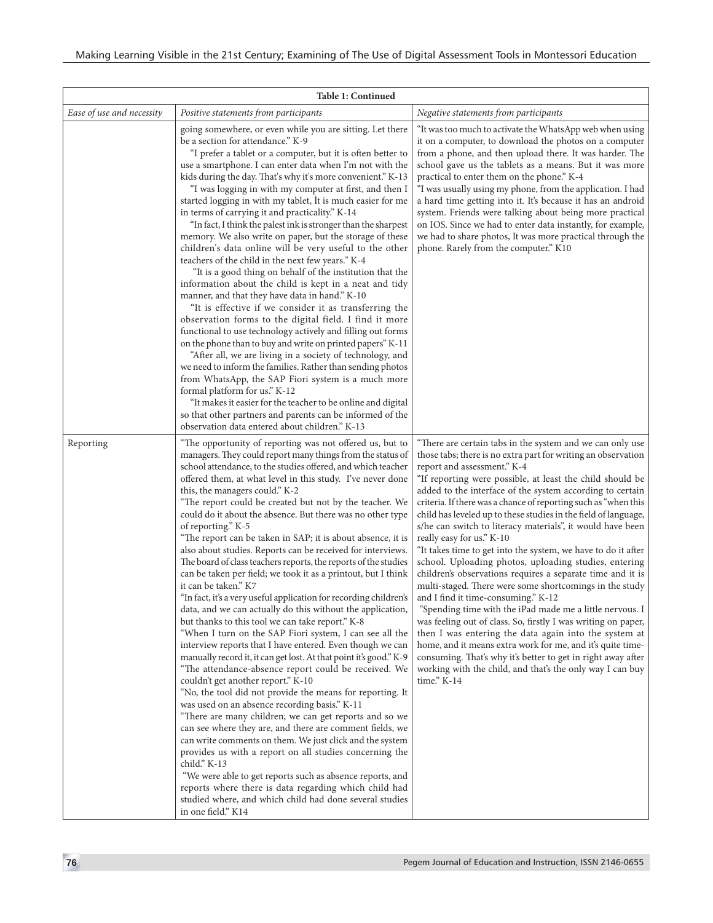| Table 1: Continued        |                                                                                                                                                                                                                                                                                                                                                                                                                                                                                                                                                                                                                                                                                                                                                                                                                                                                                                                                                                                                                                                                                                                                                                                                                                                                                                                                                                                                                                                                                                                                                                                                                                                                                                                                                                                                      |                                                                                                                                                                                                                                                                                                                                                                                                                                                                                                                                                                                                                                                                                                                                                                                                                                                                                                                                                                                                                                                                                                                                                                                                                |
|---------------------------|------------------------------------------------------------------------------------------------------------------------------------------------------------------------------------------------------------------------------------------------------------------------------------------------------------------------------------------------------------------------------------------------------------------------------------------------------------------------------------------------------------------------------------------------------------------------------------------------------------------------------------------------------------------------------------------------------------------------------------------------------------------------------------------------------------------------------------------------------------------------------------------------------------------------------------------------------------------------------------------------------------------------------------------------------------------------------------------------------------------------------------------------------------------------------------------------------------------------------------------------------------------------------------------------------------------------------------------------------------------------------------------------------------------------------------------------------------------------------------------------------------------------------------------------------------------------------------------------------------------------------------------------------------------------------------------------------------------------------------------------------------------------------------------------------|----------------------------------------------------------------------------------------------------------------------------------------------------------------------------------------------------------------------------------------------------------------------------------------------------------------------------------------------------------------------------------------------------------------------------------------------------------------------------------------------------------------------------------------------------------------------------------------------------------------------------------------------------------------------------------------------------------------------------------------------------------------------------------------------------------------------------------------------------------------------------------------------------------------------------------------------------------------------------------------------------------------------------------------------------------------------------------------------------------------------------------------------------------------------------------------------------------------|
| Ease of use and necessity | Positive statements from participants                                                                                                                                                                                                                                                                                                                                                                                                                                                                                                                                                                                                                                                                                                                                                                                                                                                                                                                                                                                                                                                                                                                                                                                                                                                                                                                                                                                                                                                                                                                                                                                                                                                                                                                                                                | Negative statements from participants                                                                                                                                                                                                                                                                                                                                                                                                                                                                                                                                                                                                                                                                                                                                                                                                                                                                                                                                                                                                                                                                                                                                                                          |
|                           | going somewhere, or even while you are sitting. Let there<br>be a section for attendance." K-9<br>"I prefer a tablet or a computer, but it is often better to<br>use a smartphone. I can enter data when I'm not with the<br>kids during the day. That's why it's more convenient." K-13<br>"I was logging in with my computer at first, and then I<br>started logging in with my tablet, It is much easier for me<br>in terms of carrying it and practicality." K-14<br>"In fact, I think the palest ink is stronger than the sharpest<br>memory. We also write on paper, but the storage of these<br>children's data online will be very useful to the other<br>teachers of the child in the next few years." K-4<br>"It is a good thing on behalf of the institution that the<br>information about the child is kept in a neat and tidy<br>manner, and that they have data in hand." K-10<br>"It is effective if we consider it as transferring the<br>observation forms to the digital field. I find it more<br>functional to use technology actively and filling out forms<br>on the phone than to buy and write on printed papers" K-11<br>"After all, we are living in a society of technology, and<br>we need to inform the families. Rather than sending photos<br>from WhatsApp, the SAP Fiori system is a much more<br>formal platform for us." K-12<br>"It makes it easier for the teacher to be online and digital<br>so that other partners and parents can be informed of the<br>observation data entered about children." K-13                                                                                                                                                                                                                                                       | "It was too much to activate the WhatsApp web when using<br>it on a computer, to download the photos on a computer<br>from a phone, and then upload there. It was harder. The<br>school gave us the tablets as a means. But it was more<br>practical to enter them on the phone." K-4<br>"I was usually using my phone, from the application. I had<br>a hard time getting into it. It's because it has an android<br>system. Friends were talking about being more practical<br>on IOS. Since we had to enter data instantly, for example,<br>we had to share photos, It was more practical through the<br>phone. Rarely from the computer." K10                                                                                                                                                                                                                                                                                                                                                                                                                                                                                                                                                              |
| Reporting                 | "The opportunity of reporting was not offered us, but to<br>managers. They could report many things from the status of<br>school attendance, to the studies offered, and which teacher<br>offered them, at what level in this study. I've never done<br>this, the managers could." K-2<br>"The report could be created but not by the teacher. We<br>could do it about the absence. But there was no other type<br>of reporting." K-5<br>"The report can be taken in SAP; it is about absence, it is<br>also about studies. Reports can be received for interviews.<br>The board of class teachers reports, the reports of the studies<br>can be taken per field; we took it as a printout, but I think<br>it can be taken." K7<br>"In fact, it's a very useful application for recording children's<br>data, and we can actually do this without the application,<br>but thanks to this tool we can take report." K-8<br>"When I turn on the SAP Fiori system, I can see all the<br>interview reports that I have entered. Even though we can<br>manually record it, it can get lost. At that point it's good." K-9<br>"The attendance-absence report could be received. We<br>couldn't get another report." K-10<br>"No, the tool did not provide the means for reporting. It<br>was used on an absence recording basis." K-11<br>"There are many children; we can get reports and so we<br>can see where they are, and there are comment fields, we<br>can write comments on them. We just click and the system<br>provides us with a report on all studies concerning the<br>child." K-13<br>"We were able to get reports such as absence reports, and<br>reports where there is data regarding which child had<br>studied where, and which child had done several studies<br>in one field." K14 | "There are certain tabs in the system and we can only use<br>those tabs; there is no extra part for writing an observation<br>report and assessment." K-4<br>"If reporting were possible, at least the child should be<br>added to the interface of the system according to certain<br>criteria. If there was a chance of reporting such as "when this<br>child has leveled up to these studies in the field of language,<br>s/he can switch to literacy materials", it would have been<br>really easy for us." K-10<br>"It takes time to get into the system, we have to do it after<br>school. Uploading photos, uploading studies, entering<br>children's observations requires a separate time and it is<br>multi-staged. There were some shortcomings in the study<br>and I find it time-consuming." K-12<br>"Spending time with the iPad made me a little nervous. I<br>was feeling out of class. So, firstly I was writing on paper,<br>then I was entering the data again into the system at<br>home, and it means extra work for me, and it's quite time-<br>consuming. That's why it's better to get in right away after<br>working with the child, and that's the only way I can buy<br>time." K-14 |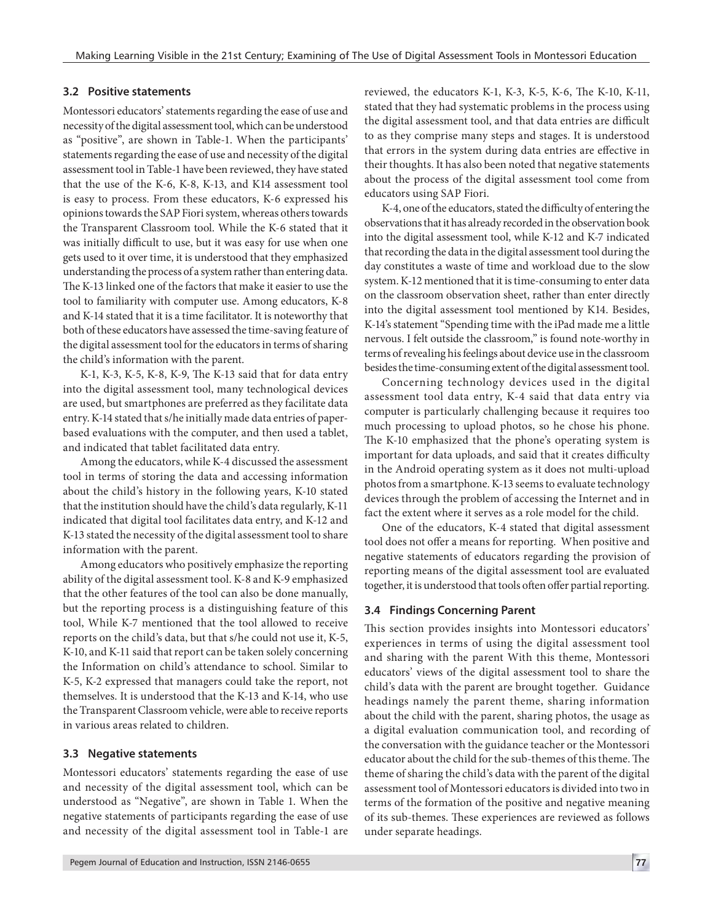#### **3.2 Positive statements**

Montessori educators' statements regarding the ease of use and necessity of the digital assessment tool, which can be understood as "positive", are shown in Table-1. When the participants' statements regarding the ease of use and necessity of the digital assessment tool in Table-1 have been reviewed, they have stated that the use of the K-6, K-8, K-13, and K14 assessment tool is easy to process. From these educators, K-6 expressed his opinions towards the SAP Fiori system, whereas others towards the Transparent Classroom tool. While the K-6 stated that it was initially difficult to use, but it was easy for use when one gets used to it over time, it is understood that they emphasized understanding the process of a system rather than entering data. The K-13 linked one of the factors that make it easier to use the tool to familiarity with computer use. Among educators, K-8 and K-14 stated that it is a time facilitator. It is noteworthy that both of these educators have assessed the time-saving feature of the digital assessment tool for the educators in terms of sharing the child's information with the parent.

K-1, K-3, K-5, K-8, K-9, The K-13 said that for data entry into the digital assessment tool, many technological devices are used, but smartphones are preferred as they facilitate data entry. K-14 stated that s/he initially made data entries of paperbased evaluations with the computer, and then used a tablet, and indicated that tablet facilitated data entry.

Among the educators, while K-4 discussed the assessment tool in terms of storing the data and accessing information about the child's history in the following years, K-10 stated that the institution should have the child's data regularly, K-11 indicated that digital tool facilitates data entry, and K-12 and K-13 stated the necessity of the digital assessment tool to share information with the parent.

Among educators who positively emphasize the reporting ability of the digital assessment tool. K-8 and K-9 emphasized that the other features of the tool can also be done manually, but the reporting process is a distinguishing feature of this tool, While K-7 mentioned that the tool allowed to receive reports on the child's data, but that s/he could not use it, K-5, K-10, and K-11 said that report can be taken solely concerning the Information on child's attendance to school. Similar to K-5, K-2 expressed that managers could take the report, not themselves. It is understood that the K-13 and K-14, who use the Transparent Classroom vehicle, were able to receive reports in various areas related to children.

#### **3.3 Negative statements**

Montessori educators' statements regarding the ease of use and necessity of the digital assessment tool, which can be understood as "Negative", are shown in Table 1. When the negative statements of participants regarding the ease of use and necessity of the digital assessment tool in Table-1 are reviewed, the educators K-1, K-3, K-5, K-6, The K-10, K-11, stated that they had systematic problems in the process using the digital assessment tool, and that data entries are difficult to as they comprise many steps and stages. It is understood that errors in the system during data entries are effective in their thoughts. It has also been noted that negative statements about the process of the digital assessment tool come from educators using SAP Fiori.

K-4, one of the educators, stated the difficulty of entering the observations that it has already recorded in the observation book into the digital assessment tool, while K-12 and K-7 indicated that recording the data in the digital assessment tool during the day constitutes a waste of time and workload due to the slow system. K-12 mentioned that it is time-consuming to enter data on the classroom observation sheet, rather than enter directly into the digital assessment tool mentioned by K14. Besides, K-14's statement "Spending time with the iPad made me a little nervous. I felt outside the classroom," is found note-worthy in terms of revealing his feelings about device use in the classroom besides the time-consuming extent of the digital assessment tool.

Concerning technology devices used in the digital assessment tool data entry, K-4 said that data entry via computer is particularly challenging because it requires too much processing to upload photos, so he chose his phone. The K-10 emphasized that the phone's operating system is important for data uploads, and said that it creates difficulty in the Android operating system as it does not multi-upload photos from a smartphone. K-13 seems to evaluate technology devices through the problem of accessing the Internet and in fact the extent where it serves as a role model for the child.

One of the educators, K-4 stated that digital assessment tool does not offer a means for reporting. When positive and negative statements of educators regarding the provision of reporting means of the digital assessment tool are evaluated together, it is understood that tools often offer partial reporting.

#### **3.4 Findings Concerning Parent**

This section provides insights into Montessori educators' experiences in terms of using the digital assessment tool and sharing with the parent With this theme, Montessori educators' views of the digital assessment tool to share the child's data with the parent are brought together. Guidance headings namely the parent theme, sharing information about the child with the parent, sharing photos, the usage as a digital evaluation communication tool, and recording of the conversation with the guidance teacher or the Montessori educator about the child for the sub-themes of this theme. The theme of sharing the child's data with the parent of the digital assessment tool of Montessori educators is divided into two in terms of the formation of the positive and negative meaning of its sub-themes. These experiences are reviewed as follows under separate headings.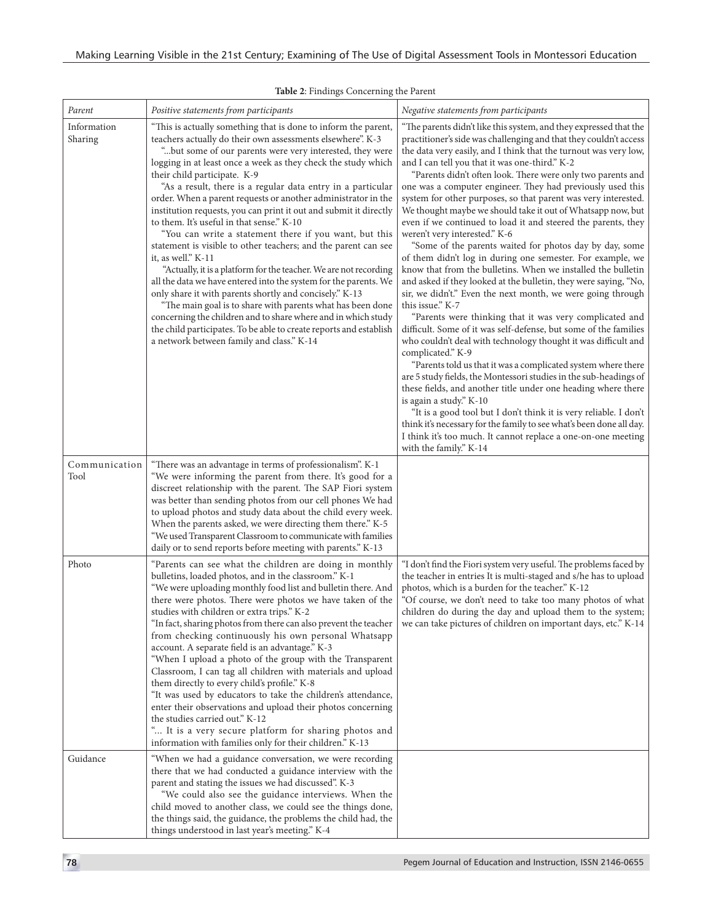| Parent                 | Positive statements from participants                                                                                                                                                                                                                                                                                                                                                                                                                                                                                                                                                                                                                                                                                                                                                                                                                                                                                                                                                                                                                                                                                                               | Negative statements from participants                                                                                                                                                                                                                                                                                                                                                                                                                                                                                                                                                                                                                                                                                                                                                                                                                                                                                                                                                                                                                                                                                                                                                                                                                                                                                                                                                                                                                                                                                                                                                                                                                                        |
|------------------------|-----------------------------------------------------------------------------------------------------------------------------------------------------------------------------------------------------------------------------------------------------------------------------------------------------------------------------------------------------------------------------------------------------------------------------------------------------------------------------------------------------------------------------------------------------------------------------------------------------------------------------------------------------------------------------------------------------------------------------------------------------------------------------------------------------------------------------------------------------------------------------------------------------------------------------------------------------------------------------------------------------------------------------------------------------------------------------------------------------------------------------------------------------|------------------------------------------------------------------------------------------------------------------------------------------------------------------------------------------------------------------------------------------------------------------------------------------------------------------------------------------------------------------------------------------------------------------------------------------------------------------------------------------------------------------------------------------------------------------------------------------------------------------------------------------------------------------------------------------------------------------------------------------------------------------------------------------------------------------------------------------------------------------------------------------------------------------------------------------------------------------------------------------------------------------------------------------------------------------------------------------------------------------------------------------------------------------------------------------------------------------------------------------------------------------------------------------------------------------------------------------------------------------------------------------------------------------------------------------------------------------------------------------------------------------------------------------------------------------------------------------------------------------------------------------------------------------------------|
| Information<br>Sharing | "This is actually something that is done to inform the parent,<br>teachers actually do their own assessments elsewhere". K-3<br>"but some of our parents were very interested, they were<br>logging in at least once a week as they check the study which<br>their child participate. K-9<br>"As a result, there is a regular data entry in a particular<br>order. When a parent requests or another administrator in the<br>institution requests, you can print it out and submit it directly<br>to them. It's useful in that sense." K-10<br>"You can write a statement there if you want, but this<br>statement is visible to other teachers; and the parent can see<br>it, as well." K-11<br>"Actually, it is a platform for the teacher. We are not recording<br>all the data we have entered into the system for the parents. We<br>only share it with parents shortly and concisely." K-13<br>"The main goal is to share with parents what has been done<br>concerning the children and to share where and in which study<br>the child participates. To be able to create reports and establish<br>a network between family and class." K-14 | "The parents didn't like this system, and they expressed that the<br>practitioner's side was challenging and that they couldn't access<br>the data very easily, and I think that the turnout was very low,<br>and I can tell you that it was one-third." K-2<br>"Parents didn't often look. There were only two parents and<br>one was a computer engineer. They had previously used this<br>system for other purposes, so that parent was very interested.<br>We thought maybe we should take it out of Whatsapp now, but<br>even if we continued to load it and steered the parents, they<br>weren't very interested." K-6<br>"Some of the parents waited for photos day by day, some<br>of them didn't log in during one semester. For example, we<br>know that from the bulletins. When we installed the bulletin<br>and asked if they looked at the bulletin, they were saying, "No,<br>sir, we didn't." Even the next month, we were going through<br>this issue." K-7<br>"Parents were thinking that it was very complicated and<br>difficult. Some of it was self-defense, but some of the families<br>who couldn't deal with technology thought it was difficult and<br>complicated." K-9<br>"Parents told us that it was a complicated system where there<br>are 5 study fields, the Montessori studies in the sub-headings of<br>these fields, and another title under one heading where there<br>is again a study." K-10<br>"It is a good tool but I don't think it is very reliable. I don't<br>think it's necessary for the family to see what's been done all day.<br>I think it's too much. It cannot replace a one-on-one meeting<br>with the family." K-14 |
| Communication<br>Tool  | "There was an advantage in terms of professionalism". K-1<br>"We were informing the parent from there. It's good for a<br>discreet relationship with the parent. The SAP Fiori system<br>was better than sending photos from our cell phones We had<br>to upload photos and study data about the child every week.<br>When the parents asked, we were directing them there." K-5<br>"We used Transparent Classroom to communicate with families<br>daily or to send reports before meeting with parents." K-13                                                                                                                                                                                                                                                                                                                                                                                                                                                                                                                                                                                                                                      |                                                                                                                                                                                                                                                                                                                                                                                                                                                                                                                                                                                                                                                                                                                                                                                                                                                                                                                                                                                                                                                                                                                                                                                                                                                                                                                                                                                                                                                                                                                                                                                                                                                                              |
| Photo                  | "Parents can see what the children are doing in monthly<br>bulletins, loaded photos, and in the classroom." K-1<br>"We were uploading monthly food list and bulletin there. And<br>there were photos. There were photos we have taken of the<br>studies with children or extra trips." K-2<br>"In fact, sharing photos from there can also prevent the teacher<br>from checking continuously his own personal Whatsapp<br>account. A separate field is an advantage." K-3<br>"When I upload a photo of the group with the Transparent<br>Classroom, I can tag all children with materials and upload<br>them directly to every child's profile." K-8<br>"It was used by educators to take the children's attendance,<br>enter their observations and upload their photos concerning<br>the studies carried out." K-12<br>" It is a very secure platform for sharing photos and<br>information with families only for their children." K-13                                                                                                                                                                                                          | "I don't find the Fiori system very useful. The problems faced by<br>the teacher in entries It is multi-staged and s/he has to upload<br>photos, which is a burden for the teacher." K-12<br>"Of course, we don't need to take too many photos of what<br>children do during the day and upload them to the system;<br>we can take pictures of children on important days, etc." K-14                                                                                                                                                                                                                                                                                                                                                                                                                                                                                                                                                                                                                                                                                                                                                                                                                                                                                                                                                                                                                                                                                                                                                                                                                                                                                        |
| Guidance               | "When we had a guidance conversation, we were recording<br>there that we had conducted a guidance interview with the<br>parent and stating the issues we had discussed". K-3<br>"We could also see the guidance interviews. When the<br>child moved to another class, we could see the things done,<br>the things said, the guidance, the problems the child had, the<br>things understood in last year's meeting." K-4                                                                                                                                                                                                                                                                                                                                                                                                                                                                                                                                                                                                                                                                                                                             |                                                                                                                                                                                                                                                                                                                                                                                                                                                                                                                                                                                                                                                                                                                                                                                                                                                                                                                                                                                                                                                                                                                                                                                                                                                                                                                                                                                                                                                                                                                                                                                                                                                                              |

**Table 2**: Findings Concerning the Parent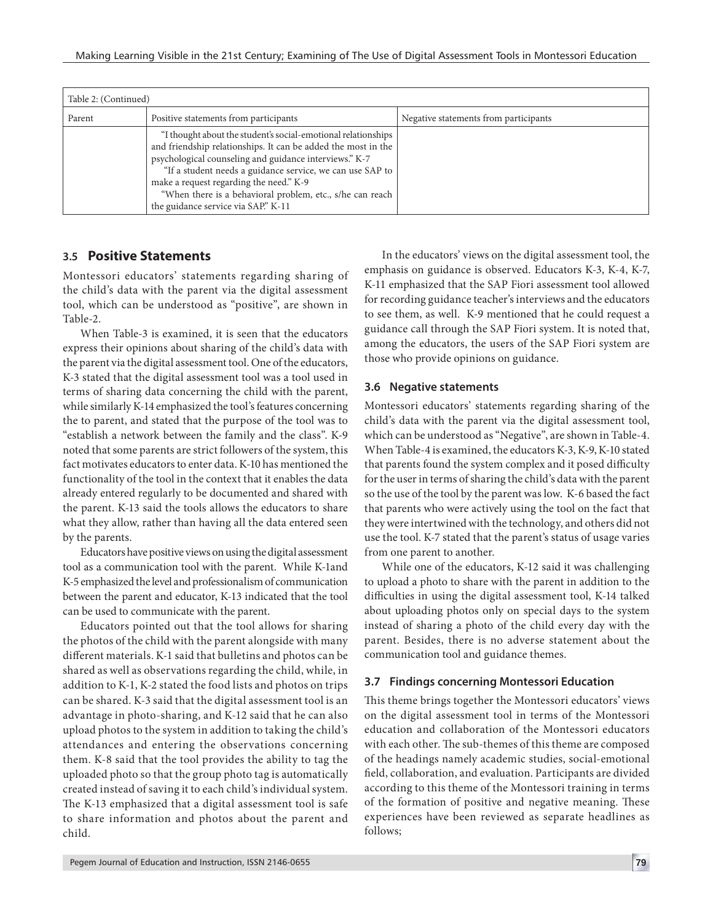| Table 2: (Continued) |                                                                                                                                                                                                                                                                                                                                                                                                      |                                       |
|----------------------|------------------------------------------------------------------------------------------------------------------------------------------------------------------------------------------------------------------------------------------------------------------------------------------------------------------------------------------------------------------------------------------------------|---------------------------------------|
| Parent               | Positive statements from participants                                                                                                                                                                                                                                                                                                                                                                | Negative statements from participants |
|                      | "I thought about the student's social-emotional relationships<br>and friendship relationships. It can be added the most in the<br>psychological counseling and guidance interviews." K-7<br>"If a student needs a guidance service, we can use SAP to<br>make a request regarding the need." K-9<br>"When there is a behavioral problem, etc., s/he can reach<br>the guidance service via SAP." K-11 |                                       |

### **3.5 Positive Statements**

Montessori educators' statements regarding sharing of the child's data with the parent via the digital assessment tool, which can be understood as "positive", are shown in Table-2.

When Table-3 is examined, it is seen that the educators express their opinions about sharing of the child's data with the parent via the digital assessment tool. One of the educators, K-3 stated that the digital assessment tool was a tool used in terms of sharing data concerning the child with the parent, while similarly K-14 emphasized the tool's features concerning the to parent, and stated that the purpose of the tool was to "establish a network between the family and the class". K-9 noted that some parents are strict followers of the system, this fact motivates educators to enter data. K-10 has mentioned the functionality of the tool in the context that it enables the data already entered regularly to be documented and shared with the parent. K-13 said the tools allows the educators to share what they allow, rather than having all the data entered seen by the parents.

Educators have positive views on using the digital assessment tool as a communication tool with the parent. While K-1and K-5 emphasized the level and professionalism of communication between the parent and educator, K-13 indicated that the tool can be used to communicate with the parent.

Educators pointed out that the tool allows for sharing the photos of the child with the parent alongside with many different materials. K-1 said that bulletins and photos can be shared as well as observations regarding the child, while, in addition to K-1, K-2 stated the food lists and photos on trips can be shared. K-3 said that the digital assessment tool is an advantage in photo-sharing, and K-12 said that he can also upload photos to the system in addition to taking the child's attendances and entering the observations concerning them. K-8 said that the tool provides the ability to tag the uploaded photo so that the group photo tag is automatically created instead of saving it to each child's individual system. The K-13 emphasized that a digital assessment tool is safe to share information and photos about the parent and child.

In the educators' views on the digital assessment tool, the emphasis on guidance is observed. Educators K-3, K-4, K-7, K-11 emphasized that the SAP Fiori assessment tool allowed for recording guidance teacher's interviews and the educators to see them, as well. K-9 mentioned that he could request a guidance call through the SAP Fiori system. It is noted that, among the educators, the users of the SAP Fiori system are those who provide opinions on guidance.

#### **3.6 Negative statements**

Montessori educators' statements regarding sharing of the child's data with the parent via the digital assessment tool, which can be understood as "Negative", are shown in Table-4. When Table-4 is examined, the educators K-3, K-9, K-10 stated that parents found the system complex and it posed difficulty for the user in terms of sharing the child's data with the parent so the use of the tool by the parent was low. K-6 based the fact that parents who were actively using the tool on the fact that they were intertwined with the technology, and others did not use the tool. K-7 stated that the parent's status of usage varies from one parent to another.

While one of the educators, K-12 said it was challenging to upload a photo to share with the parent in addition to the difficulties in using the digital assessment tool, K-14 talked about uploading photos only on special days to the system instead of sharing a photo of the child every day with the parent. Besides, there is no adverse statement about the communication tool and guidance themes.

#### **3.7 Findings concerning Montessori Education**

This theme brings together the Montessori educators' views on the digital assessment tool in terms of the Montessori education and collaboration of the Montessori educators with each other. The sub-themes of this theme are composed of the headings namely academic studies, social-emotional field, collaboration, and evaluation. Participants are divided according to this theme of the Montessori training in terms of the formation of positive and negative meaning. These experiences have been reviewed as separate headlines as follows;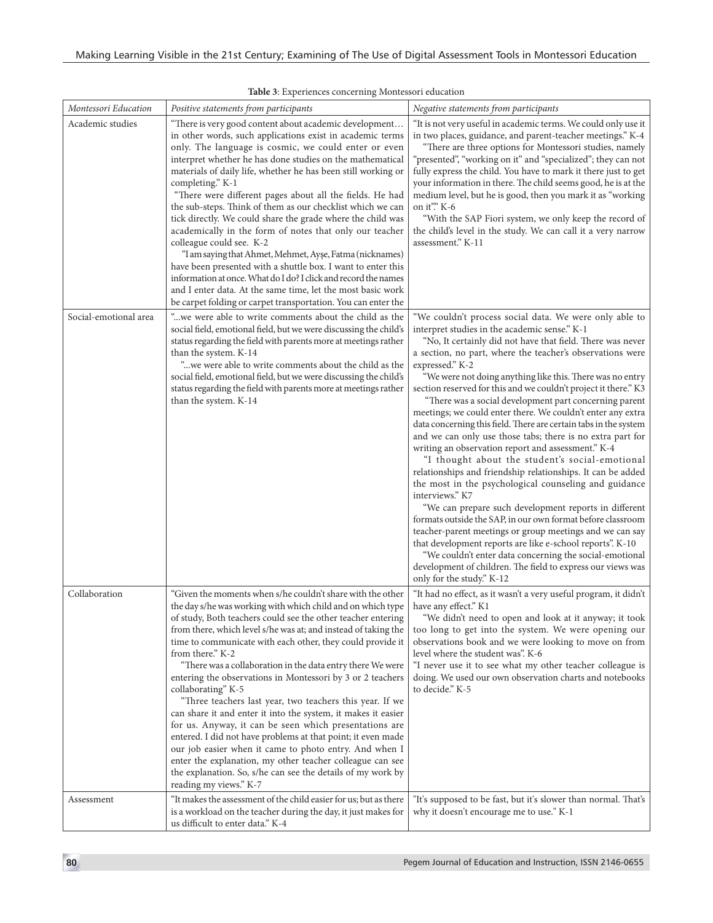| Montessori Education  | Positive statements from participants                                                                                                                                                                                                                                                                                                                                                                                                                                                                                                                                                                                                                                                                                                                                                                                                                                                                                                                                  | Negative statements from participants                                                                                                                                                                                                                                                                                                                                                                                                                                                                                                                                                                                                                                                                                                                                                                                                                                                                                                                                                                                                                                                                                                                                                                                                                                                                        |
|-----------------------|------------------------------------------------------------------------------------------------------------------------------------------------------------------------------------------------------------------------------------------------------------------------------------------------------------------------------------------------------------------------------------------------------------------------------------------------------------------------------------------------------------------------------------------------------------------------------------------------------------------------------------------------------------------------------------------------------------------------------------------------------------------------------------------------------------------------------------------------------------------------------------------------------------------------------------------------------------------------|--------------------------------------------------------------------------------------------------------------------------------------------------------------------------------------------------------------------------------------------------------------------------------------------------------------------------------------------------------------------------------------------------------------------------------------------------------------------------------------------------------------------------------------------------------------------------------------------------------------------------------------------------------------------------------------------------------------------------------------------------------------------------------------------------------------------------------------------------------------------------------------------------------------------------------------------------------------------------------------------------------------------------------------------------------------------------------------------------------------------------------------------------------------------------------------------------------------------------------------------------------------------------------------------------------------|
| Academic studies      | "There is very good content about academic development                                                                                                                                                                                                                                                                                                                                                                                                                                                                                                                                                                                                                                                                                                                                                                                                                                                                                                                 | "It is not very useful in academic terms. We could only use it                                                                                                                                                                                                                                                                                                                                                                                                                                                                                                                                                                                                                                                                                                                                                                                                                                                                                                                                                                                                                                                                                                                                                                                                                                               |
|                       | in other words, such applications exist in academic terms<br>only. The language is cosmic, we could enter or even<br>interpret whether he has done studies on the mathematical<br>materials of daily life, whether he has been still working or<br>completing." K-1<br>"There were different pages about all the fields. He had<br>the sub-steps. Think of them as our checklist which we can<br>tick directly. We could share the grade where the child was<br>academically in the form of notes that only our teacher<br>colleague could see. K-2<br>"I am saying that Ahmet, Mehmet, Ayşe, Fatma (nicknames)<br>have been presented with a shuttle box. I want to enter this<br>information at once. What do I do? I click and record the names<br>and I enter data. At the same time, let the most basic work<br>be carpet folding or carpet transportation. You can enter the                                                                                     | in two places, guidance, and parent-teacher meetings." K-4<br>"There are three options for Montessori studies, namely<br>"presented", "working on it" and "specialized"; they can not<br>fully express the child. You have to mark it there just to get<br>your information in there. The child seems good, he is at the<br>medium level, but he is good, then you mark it as "working<br>on it". K-6<br>"With the SAP Fiori system, we only keep the record of<br>the child's level in the study. We can call it a very narrow<br>assessment." K-11                                                                                                                                                                                                                                                                                                                                                                                                                                                                                                                                                                                                                                                                                                                                                         |
| Social-emotional area | "we were able to write comments about the child as the<br>social field, emotional field, but we were discussing the child's<br>status regarding the field with parents more at meetings rather<br>than the system. K-14<br>"we were able to write comments about the child as the<br>social field, emotional field, but we were discussing the child's<br>status regarding the field with parents more at meetings rather<br>than the system. K-14                                                                                                                                                                                                                                                                                                                                                                                                                                                                                                                     | "We couldn't process social data. We were only able to<br>interpret studies in the academic sense." K-1<br>"No, It certainly did not have that field. There was never<br>a section, no part, where the teacher's observations were<br>expressed." K-2<br>"We were not doing anything like this. There was no entry<br>section reserved for this and we couldn't project it there." K3<br>"There was a social development part concerning parent<br>meetings; we could enter there. We couldn't enter any extra<br>data concerning this field. There are certain tabs in the system<br>and we can only use those tabs; there is no extra part for<br>writing an observation report and assessment." K-4<br>"I thought about the student's social-emotional<br>relationships and friendship relationships. It can be added<br>the most in the psychological counseling and guidance<br>interviews." K7<br>"We can prepare such development reports in different<br>formats outside the SAP, in our own format before classroom<br>teacher-parent meetings or group meetings and we can say<br>that development reports are like e-school reports". K-10<br>"We couldn't enter data concerning the social-emotional<br>development of children. The field to express our views was<br>only for the study." K-12 |
| Collaboration         | "Given the moments when s/he couldn't share with the other<br>the day s/he was working with which child and on which type<br>of study, Both teachers could see the other teacher entering<br>from there, which level s/he was at; and instead of taking the<br>time to communicate with each other, they could provide it<br>from there." K-2<br>"There was a collaboration in the data entry there We were<br>entering the observations in Montessori by 3 or 2 teachers<br>collaborating" K-5<br>"Three teachers last year, two teachers this year. If we<br>can share it and enter it into the system, it makes it easier<br>for us. Anyway, it can be seen which presentations are<br>entered. I did not have problems at that point; it even made<br>our job easier when it came to photo entry. And when I<br>enter the explanation, my other teacher colleague can see<br>the explanation. So, s/he can see the details of my work by<br>reading my views." K-7 | "It had no effect, as it wasn't a very useful program, it didn't<br>have any effect." K1<br>"We didn't need to open and look at it anyway; it took<br>too long to get into the system. We were opening our<br>observations book and we were looking to move on from<br>level where the student was". K-6<br>"I never use it to see what my other teacher colleague is<br>doing. We used our own observation charts and notebooks<br>to decide." K-5                                                                                                                                                                                                                                                                                                                                                                                                                                                                                                                                                                                                                                                                                                                                                                                                                                                          |
| Assessment            | "It makes the assessment of the child easier for us; but as there<br>is a workload on the teacher during the day, it just makes for<br>us difficult to enter data." K-4                                                                                                                                                                                                                                                                                                                                                                                                                                                                                                                                                                                                                                                                                                                                                                                                | "It's supposed to be fast, but it's slower than normal. That's<br>why it doesn't encourage me to use." K-1                                                                                                                                                                                                                                                                                                                                                                                                                                                                                                                                                                                                                                                                                                                                                                                                                                                                                                                                                                                                                                                                                                                                                                                                   |

#### **Table 3**: Experiences concerning Montessori education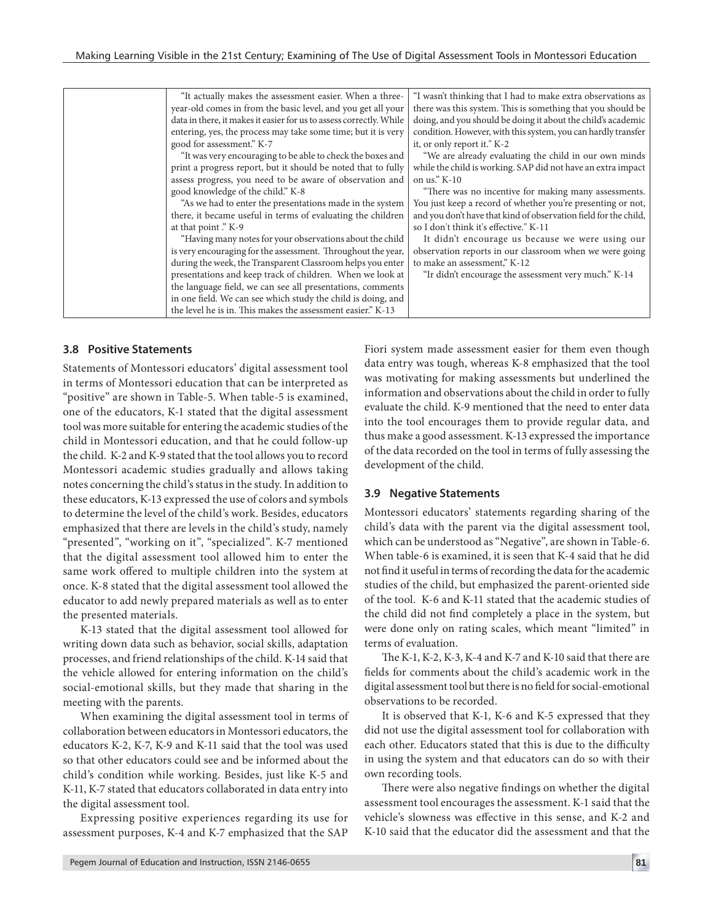| "It actually makes the assessment easier. When a three-             | "I wasn't thinking that I had to make extra observations as      |
|---------------------------------------------------------------------|------------------------------------------------------------------|
| year-old comes in from the basic level, and you get all your        | there was this system. This is something that you should be      |
| data in there, it makes it easier for us to assess correctly. While | doing, and you should be doing it about the child's academic     |
| entering, yes, the process may take some time; but it is very       | condition. However, with this system, you can hardly transfer    |
| good for assessment." K-7                                           | it, or only report it." K-2                                      |
| "It was very encouraging to be able to check the boxes and          | "We are already evaluating the child in our own minds            |
| print a progress report, but it should be noted that to fully       | while the child is working. SAP did not have an extra impact     |
| assess progress, you need to be aware of observation and            | on us." $K-10$                                                   |
| good knowledge of the child." K-8                                   | "There was no incentive for making many assessments.             |
| "As we had to enter the presentations made in the system            | You just keep a record of whether you're presenting or not,      |
| there, it became useful in terms of evaluating the children         | and you don't have that kind of observation field for the child, |
| at that point ." K-9                                                | so I don't think it's effective." K-11                           |
| "Having many notes for your observations about the child            | It didn't encourage us because we were using our                 |
| is very encouraging for the assessment. Throughout the year,        | observation reports in our classroom when we were going          |
| during the week, the Transparent Classroom helps you enter          | to make an assessment," K-12                                     |
| presentations and keep track of children. When we look at           | "Ir didn't encourage the assessment very much." K-14             |
| the language field, we can see all presentations, comments          |                                                                  |
| in one field. We can see which study the child is doing, and        |                                                                  |
| the level he is in. This makes the assessment easier." K-13         |                                                                  |
|                                                                     |                                                                  |

#### **3.8 Positive Statements**

Statements of Montessori educators' digital assessment tool in terms of Montessori education that can be interpreted as "positive" are shown in Table-5. When table-5 is examined, one of the educators, K-1 stated that the digital assessment tool was more suitable for entering the academic studies of the child in Montessori education, and that he could follow-up the child. K-2 and K-9 stated that the tool allows you to record Montessori academic studies gradually and allows taking notes concerning the child's status in the study. In addition to these educators, K-13 expressed the use of colors and symbols to determine the level of the child's work. Besides, educators emphasized that there are levels in the child's study, namely "presented", "working on it", "specialized". K-7 mentioned that the digital assessment tool allowed him to enter the same work offered to multiple children into the system at once. K-8 stated that the digital assessment tool allowed the educator to add newly prepared materials as well as to enter the presented materials.

K-13 stated that the digital assessment tool allowed for writing down data such as behavior, social skills, adaptation processes, and friend relationships of the child. K-14 said that the vehicle allowed for entering information on the child's social-emotional skills, but they made that sharing in the meeting with the parents.

When examining the digital assessment tool in terms of collaboration between educators in Montessori educators, the educators K-2, K-7, K-9 and K-11 said that the tool was used so that other educators could see and be informed about the child's condition while working. Besides, just like K-5 and K-11, K-7 stated that educators collaborated in data entry into the digital assessment tool.

Expressing positive experiences regarding its use for assessment purposes, K-4 and K-7 emphasized that the SAP Fiori system made assessment easier for them even though data entry was tough, whereas K-8 emphasized that the tool was motivating for making assessments but underlined the information and observations about the child in order to fully evaluate the child. K-9 mentioned that the need to enter data into the tool encourages them to provide regular data, and thus make a good assessment. K-13 expressed the importance of the data recorded on the tool in terms of fully assessing the development of the child.

#### **3.9 Negative Statements**

Montessori educators' statements regarding sharing of the child's data with the parent via the digital assessment tool, which can be understood as "Negative", are shown in Table-6. When table-6 is examined, it is seen that K-4 said that he did not find it useful in terms of recording the data for the academic studies of the child, but emphasized the parent-oriented side of the tool. K-6 and K-11 stated that the academic studies of the child did not find completely a place in the system, but were done only on rating scales, which meant "limited" in terms of evaluation.

The K-1, K-2, K-3, K-4 and K-7 and K-10 said that there are fields for comments about the child's academic work in the digital assessment tool but there is no field for social-emotional observations to be recorded.

It is observed that K-1, K-6 and K-5 expressed that they did not use the digital assessment tool for collaboration with each other. Educators stated that this is due to the difficulty in using the system and that educators can do so with their own recording tools.

There were also negative findings on whether the digital assessment tool encourages the assessment. K-1 said that the vehicle's slowness was effective in this sense, and K-2 and K-10 said that the educator did the assessment and that the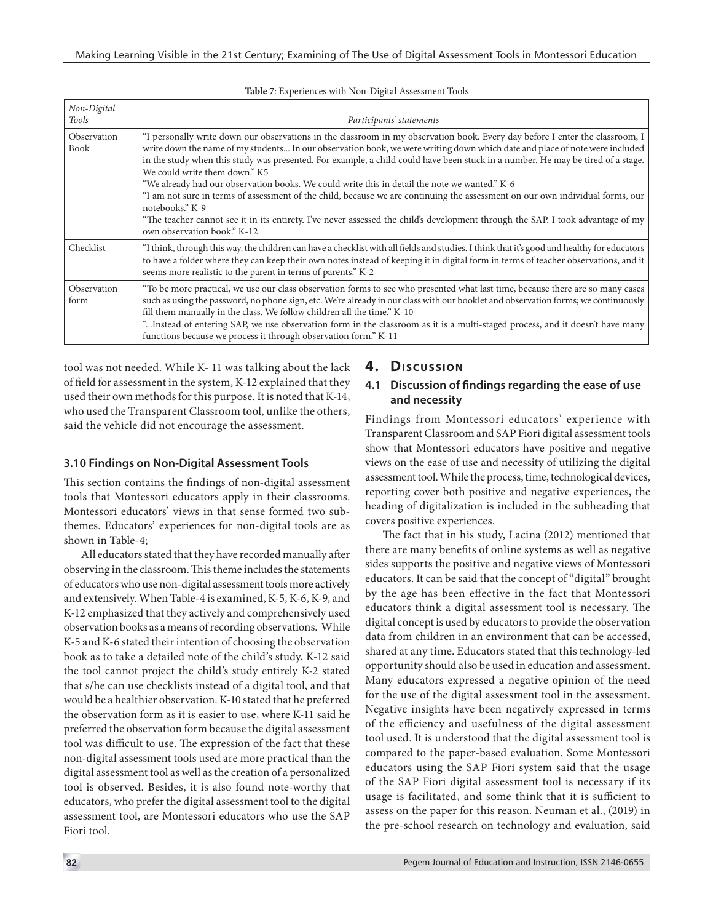| Non-Digital         |                                                                                                                                                                                                                                                                                                                                                                                                                                                                                                                                                                                                                                                                                                                                                                                                                                                        |
|---------------------|--------------------------------------------------------------------------------------------------------------------------------------------------------------------------------------------------------------------------------------------------------------------------------------------------------------------------------------------------------------------------------------------------------------------------------------------------------------------------------------------------------------------------------------------------------------------------------------------------------------------------------------------------------------------------------------------------------------------------------------------------------------------------------------------------------------------------------------------------------|
| Tools               | Participants' statements                                                                                                                                                                                                                                                                                                                                                                                                                                                                                                                                                                                                                                                                                                                                                                                                                               |
| Observation<br>Book | "I personally write down our observations in the classroom in my observation book. Every day before I enter the classroom, I<br>write down the name of my students In our observation book, we were writing down which date and place of note were included<br>in the study when this study was presented. For example, a child could have been stuck in a number. He may be tired of a stage.<br>We could write them down." K5<br>"We already had our observation books. We could write this in detail the note we wanted." K-6<br>"I am not sure in terms of assessment of the child, because we are continuing the assessment on our own individual forms, our<br>notebooks." K-9<br>"The teacher cannot see it in its entirety. I've never assessed the child's development through the SAP. I took advantage of my<br>own observation book." K-12 |
| Checklist           | "I think, through this way, the children can have a checklist with all fields and studies. I think that it's good and healthy for educators<br>to have a folder where they can keep their own notes instead of keeping it in digital form in terms of teacher observations, and it<br>seems more realistic to the parent in terms of parents." K-2                                                                                                                                                                                                                                                                                                                                                                                                                                                                                                     |
| Observation<br>form | "To be more practical, we use our class observation forms to see who presented what last time, because there are so many cases<br>such as using the password, no phone sign, etc. We're already in our class with our booklet and observation forms; we continuously<br>fill them manually in the class. We follow children all the time." K-10<br>"Instead of entering SAP, we use observation form in the classroom as it is a multi-staged process, and it doesn't have many<br>functions because we process it through observation form." K-11                                                                                                                                                                                                                                                                                                     |

**Table 7**: Experiences with Non-Digital Assessment Tools

tool was not needed. While K- 11 was talking about the lack of field for assessment in the system, K-12 explained that they used their own methods for this purpose. It is noted that K-14, who used the Transparent Classroom tool, unlike the others, said the vehicle did not encourage the assessment.

#### **3.10 Findings on Non-Digital Assessment Tools**

This section contains the findings of non-digital assessment tools that Montessori educators apply in their classrooms. Montessori educators' views in that sense formed two subthemes. Educators' experiences for non-digital tools are as shown in Table-4;

All educators stated that they have recorded manually after observing in the classroom. This theme includes the statements of educators who use non-digital assessment tools more actively and extensively. When Table-4 is examined, K-5, K-6, K-9, and K-12 emphasized that they actively and comprehensively used observation books as a means of recording observations. While K-5 and K-6 stated their intention of choosing the observation book as to take a detailed note of the child's study, K-12 said the tool cannot project the child's study entirely K-2 stated that s/he can use checklists instead of a digital tool, and that would be a healthier observation. K-10 stated that he preferred the observation form as it is easier to use, where K-11 said he preferred the observation form because the digital assessment tool was difficult to use. The expression of the fact that these non-digital assessment tools used are more practical than the digital assessment tool as well as the creation of a personalized tool is observed. Besides, it is also found note-worthy that educators, who prefer the digital assessment tool to the digital assessment tool, are Montessori educators who use the SAP Fiori tool.

# **4. Discussion**

#### **4.1 Discussion of findings regarding the ease of use and necessity**

Findings from Montessori educators' experience with Transparent Classroom and SAP Fiori digital assessment tools show that Montessori educators have positive and negative views on the ease of use and necessity of utilizing the digital assessment tool. While the process, time, technological devices, reporting cover both positive and negative experiences, the heading of digitalization is included in the subheading that covers positive experiences.

The fact that in his study, Lacina (2012) mentioned that there are many benefits of online systems as well as negative sides supports the positive and negative views of Montessori educators. It can be said that the concept of "digital" brought by the age has been effective in the fact that Montessori educators think a digital assessment tool is necessary. The digital concept is used by educators to provide the observation data from children in an environment that can be accessed, shared at any time. Educators stated that this technology-led opportunity should also be used in education and assessment. Many educators expressed a negative opinion of the need for the use of the digital assessment tool in the assessment. Negative insights have been negatively expressed in terms of the efficiency and usefulness of the digital assessment tool used. It is understood that the digital assessment tool is compared to the paper-based evaluation. Some Montessori educators using the SAP Fiori system said that the usage of the SAP Fiori digital assessment tool is necessary if its usage is facilitated, and some think that it is sufficient to assess on the paper for this reason. Neuman et al., (2019) in the pre-school research on technology and evaluation, said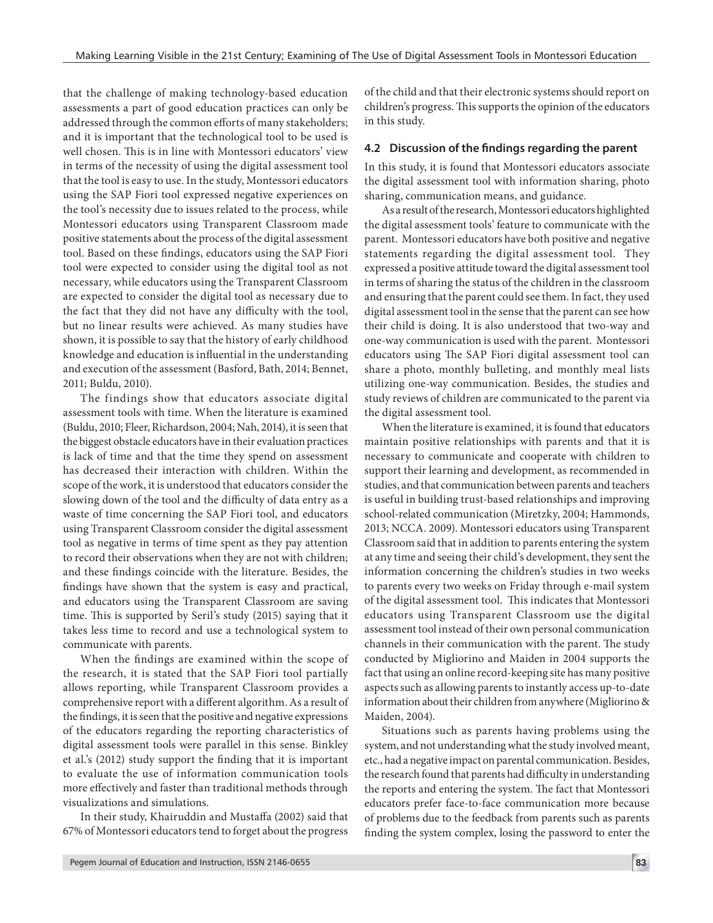that the challenge of making technology-based education assessments a part of good education practices can only be addressed through the common efforts of many stakeholders; and it is important that the technological tool to be used is well chosen. This is in line with Montessori educators' view in terms of the necessity of using the digital assessment tool that the tool is easy to use. In the study, Montessori educators using the SAP Fiori tool expressed negative experiences on the tool's necessity due to issues related to the process, while Montessori educators using Transparent Classroom made positive statements about the process of the digital assessment tool. Based on these findings, educators using the SAP Fiori tool were expected to consider using the digital tool as not necessary, while educators using the Transparent Classroom are expected to consider the digital tool as necessary due to the fact that they did not have any difficulty with the tool, but no linear results were achieved. As many studies have shown, it is possible to say that the history of early childhood knowledge and education is influential in the understanding and execution of the assessment (Basford, Bath, 2014; Bennet, 2011; Buldu, 2010).

The findings show that educators associate digital assessment tools with time. When the literature is examined (Buldu, 2010; Fleer, Richardson, 2004; Nah, 2014), it is seen that the biggest obstacle educators have in their evaluation practices is lack of time and that the time they spend on assessment has decreased their interaction with children. Within the scope of the work, it is understood that educators consider the slowing down of the tool and the difficulty of data entry as a waste of time concerning the SAP Fiori tool, and educators using Transparent Classroom consider the digital assessment tool as negative in terms of time spent as they pay attention to record their observations when they are not with children; and these findings coincide with the literature. Besides, the findings have shown that the system is easy and practical, and educators using the Transparent Classroom are saving time. This is supported by Seril's study (2015) saying that it takes less time to record and use a technological system to communicate with parents.

When the findings are examined within the scope of the research, it is stated that the SAP Fiori tool partially allows reporting, while Transparent Classroom provides a comprehensive report with a different algorithm. As a result of the findings, it is seen that the positive and negative expressions of the educators regarding the reporting characteristics of digital assessment tools were parallel in this sense. Binkley et al.'s (2012) study support the finding that it is important to evaluate the use of information communication tools more effectively and faster than traditional methods through visualizations and simulations.

In their study, Khairuddin and Mustaffa (2002) said that 67% of Montessori educators tend to forget about the progress of the child and that their electronic systems should report on children's progress. This supports the opinion of the educators in this study.

#### **4.2 Discussion of the findings regarding the parent**

In this study, it is found that Montessori educators associate the digital assessment tool with information sharing, photo sharing, communication means, and guidance.

As a result of the research, Montessori educators highlighted the digital assessment tools' feature to communicate with the parent. Montessori educators have both positive and negative statements regarding the digital assessment tool. They expressed a positive attitude toward the digital assessment tool in terms of sharing the status of the children in the classroom and ensuring that the parent could see them. In fact, they used digital assessment tool in the sense that the parent can see how their child is doing. It is also understood that two-way and one-way communication is used with the parent. Montessori educators using The SAP Fiori digital assessment tool can share a photo, monthly bulleting, and monthly meal lists utilizing one-way communication. Besides, the studies and study reviews of children are communicated to the parent via the digital assessment tool.

When the literature is examined, it is found that educators maintain positive relationships with parents and that it is necessary to communicate and cooperate with children to support their learning and development, as recommended in studies, and that communication between parents and teachers is useful in building trust-based relationships and improving school-related communication (Miretzky, 2004; Hammonds, 2013; NCCA. 2009). Montessori educators using Transparent Classroom said that in addition to parents entering the system at any time and seeing their child's development, they sent the information concerning the children's studies in two weeks to parents every two weeks on Friday through e-mail system of the digital assessment tool. This indicates that Montessori educators using Transparent Classroom use the digital assessment tool instead of their own personal communication channels in their communication with the parent. The study conducted by Migliorino and Maiden in 2004 supports the fact that using an online record-keeping site has many positive aspects such as allowing parents to instantly access up-to-date information about their children from anywhere (Migliorino & Maiden, 2004).

Situations such as parents having problems using the system, and not understanding what the study involved meant, etc., had a negative impact on parental communication. Besides, the research found that parents had difficulty in understanding the reports and entering the system. The fact that Montessori educators prefer face-to-face communication more because of problems due to the feedback from parents such as parents finding the system complex, losing the password to enter the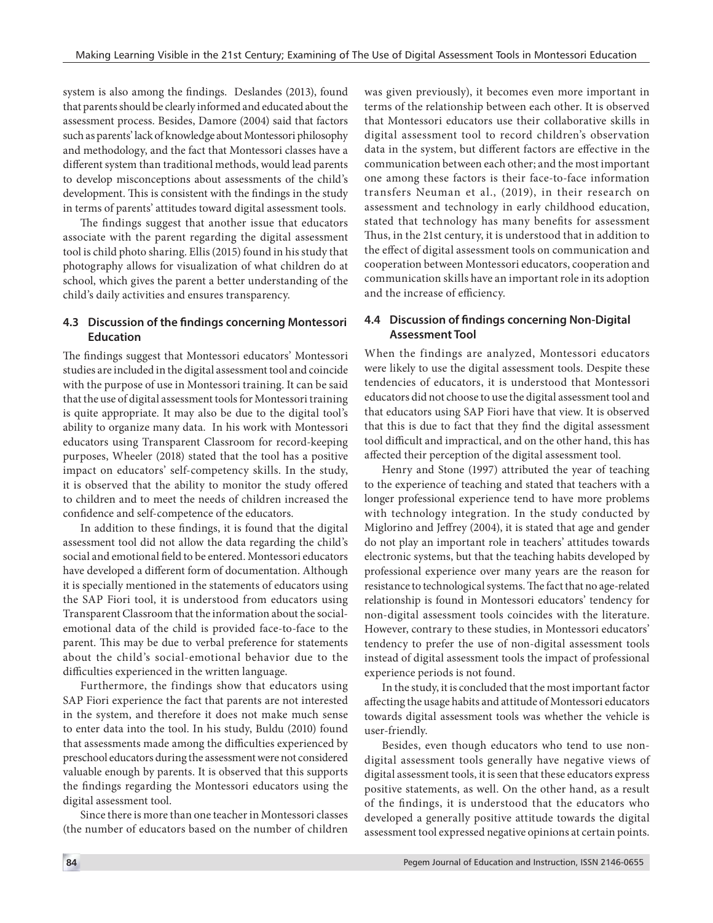system is also among the findings. Deslandes (2013), found that parents should be clearly informed and educated about the assessment process. Besides, Damore (2004) said that factors such as parents' lack of knowledge about Montessori philosophy and methodology, and the fact that Montessori classes have a different system than traditional methods, would lead parents to develop misconceptions about assessments of the child's development. This is consistent with the findings in the study in terms of parents' attitudes toward digital assessment tools.

The findings suggest that another issue that educators associate with the parent regarding the digital assessment tool is child photo sharing. Ellis (2015) found in his study that photography allows for visualization of what children do at school, which gives the parent a better understanding of the child's daily activities and ensures transparency.

### **4.3 Discussion of the findings concerning Montessori Education**

The findings suggest that Montessori educators' Montessori studies are included in the digital assessment tool and coincide with the purpose of use in Montessori training. It can be said that the use of digital assessment tools for Montessori training is quite appropriate. It may also be due to the digital tool's ability to organize many data. In his work with Montessori educators using Transparent Classroom for record-keeping purposes, Wheeler (2018) stated that the tool has a positive impact on educators' self-competency skills. In the study, it is observed that the ability to monitor the study offered to children and to meet the needs of children increased the confidence and self-competence of the educators.

In addition to these findings, it is found that the digital assessment tool did not allow the data regarding the child's social and emotional field to be entered. Montessori educators have developed a different form of documentation. Although it is specially mentioned in the statements of educators using the SAP Fiori tool, it is understood from educators using Transparent Classroom that the information about the socialemotional data of the child is provided face-to-face to the parent. This may be due to verbal preference for statements about the child's social-emotional behavior due to the difficulties experienced in the written language.

Furthermore, the findings show that educators using SAP Fiori experience the fact that parents are not interested in the system, and therefore it does not make much sense to enter data into the tool. In his study, Buldu (2010) found that assessments made among the difficulties experienced by preschool educators during the assessment were not considered valuable enough by parents. It is observed that this supports the findings regarding the Montessori educators using the digital assessment tool.

Since there is more than one teacher in Montessori classes (the number of educators based on the number of children was given previously), it becomes even more important in terms of the relationship between each other. It is observed that Montessori educators use their collaborative skills in digital assessment tool to record children's observation data in the system, but different factors are effective in the communication between each other; and the most important one among these factors is their face-to-face information transfers Neuman et al., (2019), in their research on assessment and technology in early childhood education, stated that technology has many benefits for assessment Thus, in the 21st century, it is understood that in addition to the effect of digital assessment tools on communication and cooperation between Montessori educators, cooperation and communication skills have an important role in its adoption and the increase of efficiency.

#### **4.4 Discussion of findings concerning Non-Digital Assessment Tool**

When the findings are analyzed, Montessori educators were likely to use the digital assessment tools. Despite these tendencies of educators, it is understood that Montessori educators did not choose to use the digital assessment tool and that educators using SAP Fiori have that view. It is observed that this is due to fact that they find the digital assessment tool difficult and impractical, and on the other hand, this has affected their perception of the digital assessment tool.

Henry and Stone (1997) attributed the year of teaching to the experience of teaching and stated that teachers with a longer professional experience tend to have more problems with technology integration. In the study conducted by Miglorino and Jeffrey (2004), it is stated that age and gender do not play an important role in teachers' attitudes towards electronic systems, but that the teaching habits developed by professional experience over many years are the reason for resistance to technological systems. The fact that no age-related relationship is found in Montessori educators' tendency for non-digital assessment tools coincides with the literature. However, contrary to these studies, in Montessori educators' tendency to prefer the use of non-digital assessment tools instead of digital assessment tools the impact of professional experience periods is not found.

In the study, it is concluded that the most important factor affecting the usage habits and attitude of Montessori educators towards digital assessment tools was whether the vehicle is user-friendly.

Besides, even though educators who tend to use nondigital assessment tools generally have negative views of digital assessment tools, it is seen that these educators express positive statements, as well. On the other hand, as a result of the findings, it is understood that the educators who developed a generally positive attitude towards the digital assessment tool expressed negative opinions at certain points.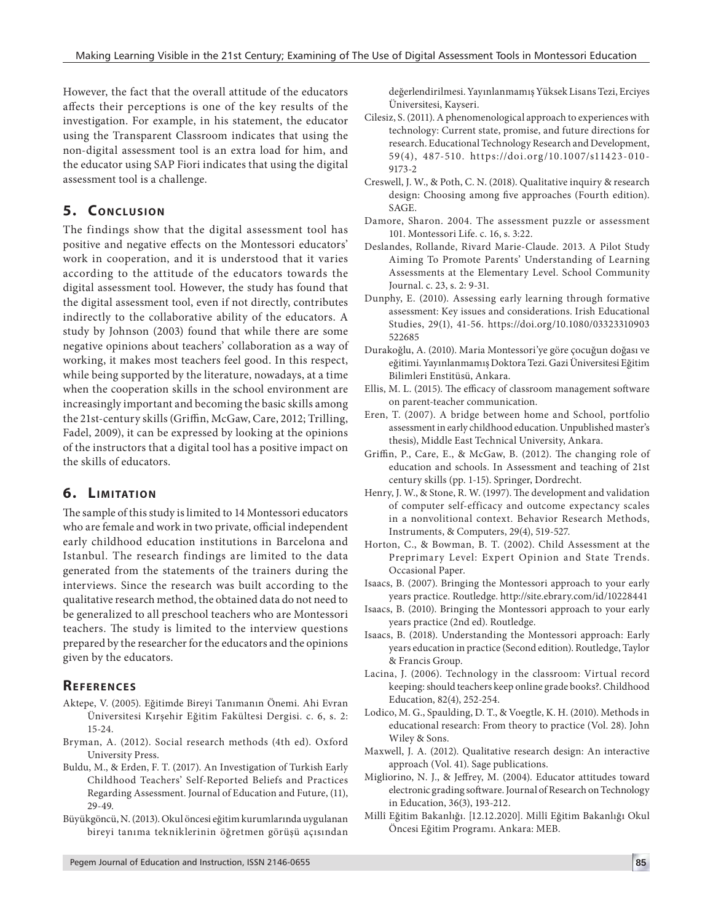Üniversitesi, Kayseri.

9173-2

SAGE.

However, the fact that the overall attitude of the educators affects their perceptions is one of the key results of the investigation. For example, in his statement, the educator using the Transparent Classroom indicates that using the non-digital assessment tool is an extra load for him, and the educator using SAP Fiori indicates that using the digital assessment tool is a challenge.

# **5. CONCLUSION**

The findings show that the digital assessment tool has positive and negative effects on the Montessori educators' work in cooperation, and it is understood that it varies according to the attitude of the educators towards the digital assessment tool. However, the study has found that the digital assessment tool, even if not directly, contributes indirectly to the collaborative ability of the educators. A study by Johnson (2003) found that while there are some negative opinions about teachers' collaboration as a way of working, it makes most teachers feel good. In this respect, while being supported by the literature, nowadays, at a time when the cooperation skills in the school environment are increasingly important and becoming the basic skills among the 21st-century skills (Griffin, McGaw, Care, 2012; Trilling, Fadel, 2009), it can be expressed by looking at the opinions of the instructors that a digital tool has a positive impact on the skills of educators.

# **6. LIMITATION**

The sample of this study is limited to 14 Montessori educators who are female and work in two private, official independent early childhood education institutions in Barcelona and Istanbul. The research findings are limited to the data generated from the statements of the trainers during the interviews. Since the research was built according to the qualitative research method, the obtained data do not need to be generalized to all preschool teachers who are Montessori teachers. The study is limited to the interview questions prepared by the researcher for the educators and the opinions given by the educators.

# **REFERENCES**

- Aktepe, V. (2005). Eğitimde Bireyi Tanımanın Önemi. Ahi Evran Üniversitesi Kırşehir Eğitim Fakültesi Dergisi. c. 6, s. 2: 15-24.
- Bryman, A. (2012). Social research methods (4th ed). Oxford University Press.
- Buldu, M., & Erden, F. T. (2017). An Investigation of Turkish Early Childhood Teachers' Self-Reported Beliefs and Practices Regarding Assessment. Journal of Education and Future, (11), 29-49.
- Büyükgöncü, N. (2013). Okul öncesi eğitim kurumlarında uygulanan bireyi tanıma tekniklerinin öğretmen görüşü açısından

Eren, T. (2007). A bridge between home and School, portfolio

522685

assessment in early childhood education. Unpublished master's thesis), Middle East Technical University, Ankara.

değerlendirilmesi. Yayınlanmamış Yüksek Lisans Tezi, Erciyes

Cilesiz, S. (2011). A phenomenological approach to experiences with technology: Current state, promise, and future directions for research. Educational Technology Research and Development, 59(4), 487-510. https://doi.org/10.1007/s11423-010-

Creswell, J. W., & Poth, C. N. (2018). Qualitative inquiry & research design: Choosing among five approaches (Fourth edition).

Damore, Sharon. 2004. The assessment puzzle or assessment

Deslandes, Rollande, Rivard Marie-Claude. 2013. A Pilot Study Aiming To Promote Parents' Understanding of Learning Assessments at the Elementary Level. School Community

Dunphy, E. (2010). Assessing early learning through formative assessment: Key issues and considerations. Irish Educational Studies, 29(1), 41-56. https://doi.org/10.1080/03323310903

Durakoğlu, A. (2010). Maria Montessori'ye göre çocuğun doğası ve eğitimi.Yayınlanmamış Doktora Tezi. Gazi Üniversitesi Eğitim

Ellis, M. L. (2015). The efficacy of classroom management software

101. Montessori Life. c. 16, s. 3:22.

Journal. c. 23, s. 2: 9-31.

Bilimleri Enstitüsü, Ankara.

on parent-teacher communication.

- Griffin, P., Care, E., & McGaw, B. (2012). The changing role of education and schools. In Assessment and teaching of 21st century skills (pp. 1-15). Springer, Dordrecht.
- Henry, J. W., & Stone, R. W. (1997). The development and validation of computer self-efficacy and outcome expectancy scales in a nonvolitional context. Behavior Research Methods, Instruments, & Computers, 29(4), 519-527.
- Horton, C., & Bowman, B. T. (2002). Child Assessment at the Preprimary Level: Expert Opinion and State Trends. Occasional Paper.
- Isaacs, B. (2007). Bringing the Montessori approach to your early years practice. Routledge. http://site.ebrary.com/id/10228441
- Isaacs, B. (2010). Bringing the Montessori approach to your early years practice (2nd ed). Routledge.
- Isaacs, B. (2018). Understanding the Montessori approach: Early years education in practice (Second edition). Routledge, Taylor & Francis Group.
- Lacina, J. (2006). Technology in the classroom: Virtual record keeping: should teachers keep online grade books?. Childhood Education, 82(4), 252-254.
- Lodico, M. G., Spaulding, D. T., & Voegtle, K. H. (2010). Methods in educational research: From theory to practice (Vol. 28). John Wiley & Sons.
- Maxwell, J. A. (2012). Qualitative research design: An interactive approach (Vol. 41). Sage publications.
- Migliorino, N. J., & Jeffrey, M. (2004). Educator attitudes toward electronic grading software. Journal of Research on Technology in Education, 36(3), 193-212.
- Millî Eğitim Bakanlığı. [12.12.2020]. Millî Eğitim Bakanlığı Okul Öncesi Eğitim Programı. Ankara: MEB.